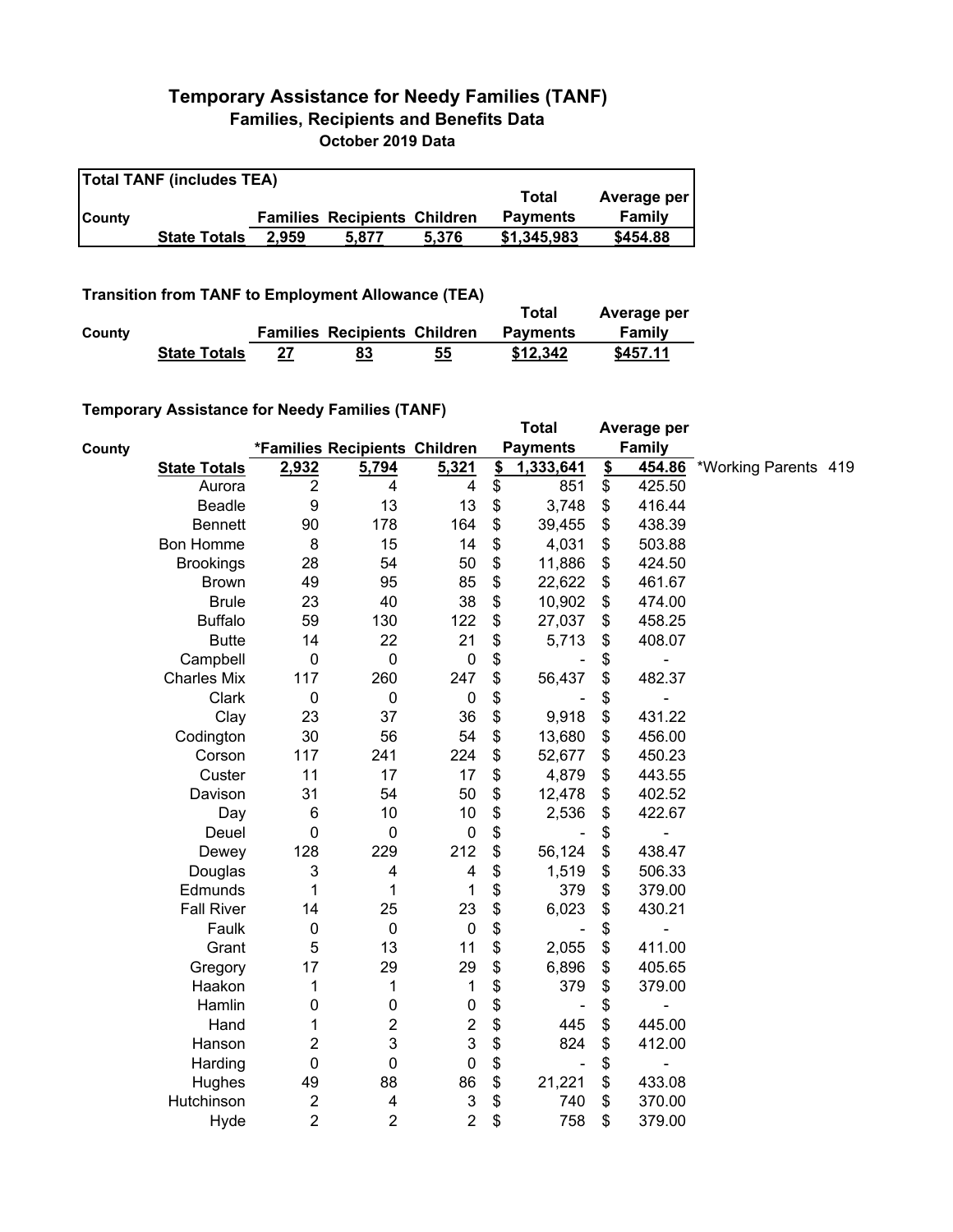## **Temporary Assistance for Needy Families (TANF) Families, Recipients and Benefits Data October 2019 Data**

| <b>Total TANF (includes TEA)</b> |                     |       |                                     |       |                 |             |  |  |  |
|----------------------------------|---------------------|-------|-------------------------------------|-------|-----------------|-------------|--|--|--|
|                                  |                     |       |                                     |       | Total           | Average per |  |  |  |
| <b>County</b>                    |                     |       | <b>Families Recipients Children</b> |       | <b>Payments</b> | Family      |  |  |  |
|                                  | <b>State Totals</b> | 2.959 | 5.877                               | 5.376 | \$1,345,983     | \$454.88    |  |  |  |

## **Transition from TANF to Employment Allowance (TEA)**

|        | <b>ITAIISIUVII IIVIII TANT LO EIIIPIOVIIIEIIL AIIUWAIICE (TEA)</b> | Total | Average per                         |    |                 |          |
|--------|--------------------------------------------------------------------|-------|-------------------------------------|----|-----------------|----------|
| County |                                                                    |       | <b>Families Recipients Children</b> |    | <b>Payments</b> | Family   |
|        | <b>State Totals</b>                                                | 27    | <u>83</u>                           | 55 | \$12,342        | \$457.11 |

## **Temporary Assistance for Needy Families (TANF)**

|        | $\frac{1}{2}$ componently resolved to the recent resolution of $\frac{1}{2}$ |                  |                               |                           |               | <b>Total</b>             |               | Average per              |                      |  |
|--------|------------------------------------------------------------------------------|------------------|-------------------------------|---------------------------|---------------|--------------------------|---------------|--------------------------|----------------------|--|
| County |                                                                              |                  | *Families Recipients Children |                           |               | <b>Payments</b>          |               | <b>Family</b>            |                      |  |
|        | <b>State Totals</b>                                                          | 2,932            | 5,794                         | 5,321                     | $\frac{2}{3}$ | 1,333,641                | $\frac{2}{2}$ | 454.86                   | *Working Parents 419 |  |
|        | Aurora                                                                       | $\overline{2}$   | 4                             | 4                         | \$            | 851                      | \$            | 425.50                   |                      |  |
|        | Beadle                                                                       | 9                | 13                            | 13                        | \$            | 3,748                    | \$            | 416.44                   |                      |  |
|        | <b>Bennett</b>                                                               | 90               | 178                           | 164                       | \$            | 39,455                   | \$            | 438.39                   |                      |  |
|        | Bon Homme                                                                    | 8                | 15                            | 14                        | \$            | 4,031                    | \$            | 503.88                   |                      |  |
|        | <b>Brookings</b>                                                             | 28               | 54                            | 50                        | \$            | 11,886                   | \$            | 424.50                   |                      |  |
|        | <b>Brown</b>                                                                 | 49               | 95                            | 85                        | \$            | 22,622                   | \$            | 461.67                   |                      |  |
|        | <b>Brule</b>                                                                 | 23               | 40                            | 38                        | \$            | 10,902                   | \$            | 474.00                   |                      |  |
|        | <b>Buffalo</b>                                                               | 59               | 130                           | 122                       | \$            | 27,037                   | \$            | 458.25                   |                      |  |
|        | <b>Butte</b>                                                                 | 14               | 22                            | 21                        | \$            | 5,713                    | \$            | 408.07                   |                      |  |
|        | Campbell                                                                     | $\mathbf 0$      | $\mathbf 0$                   | $\pmb{0}$                 | \$            |                          | \$            | ۰                        |                      |  |
|        | <b>Charles Mix</b>                                                           | 117              | 260                           | 247                       | \$            | 56,437                   | \$            | 482.37                   |                      |  |
|        | Clark                                                                        | $\mathbf 0$      | $\mathbf 0$                   | $\mathbf 0$               | \$            |                          | \$            |                          |                      |  |
|        | Clay                                                                         | 23               | 37                            | 36                        | \$            | 9,918                    | \$            | 431.22                   |                      |  |
|        | Codington                                                                    | 30               | 56                            | 54                        | \$            | 13,680                   | \$            | 456.00                   |                      |  |
|        | Corson                                                                       | 117              | 241                           | 224                       | \$            | 52,677                   | \$            | 450.23                   |                      |  |
|        | Custer                                                                       | 11               | 17                            | 17                        | \$            | 4,879                    | \$            | 443.55                   |                      |  |
|        | Davison                                                                      | 31               | 54                            | 50                        | \$            | 12,478                   | \$            | 402.52                   |                      |  |
|        | Day                                                                          | 6                | 10                            | 10                        | \$            | 2,536                    | \$            | 422.67                   |                      |  |
|        | Deuel                                                                        | $\mathbf 0$      | $\mathbf 0$                   | $\pmb{0}$                 | \$            |                          | \$            | $\overline{\phantom{0}}$ |                      |  |
|        | Dewey                                                                        | 128              | 229                           | 212                       | \$            | 56,124                   | \$            | 438.47                   |                      |  |
|        | Douglas                                                                      | 3                | 4                             | 4                         | \$            | 1,519                    | \$            | 506.33                   |                      |  |
|        | Edmunds                                                                      | 1                | 1                             | 1                         | \$            | 379                      | \$            | 379.00                   |                      |  |
|        | <b>Fall River</b>                                                            | 14               | 25                            | 23                        | \$            | 6,023                    | \$            | 430.21                   |                      |  |
|        | Faulk                                                                        | $\boldsymbol{0}$ | $\pmb{0}$                     | $\pmb{0}$                 | \$            | $\overline{\phantom{a}}$ | \$            |                          |                      |  |
|        | Grant                                                                        | 5                | 13                            | 11                        | \$            | 2,055                    | \$            | 411.00                   |                      |  |
|        | Gregory                                                                      | 17               | 29                            | 29                        | \$            | 6,896                    | \$            | 405.65                   |                      |  |
|        | Haakon                                                                       | 1                | 1                             | 1                         | \$            | 379                      | \$            | 379.00                   |                      |  |
|        | Hamlin                                                                       | 0                | $\pmb{0}$                     | $\pmb{0}$                 | \$            |                          | \$            |                          |                      |  |
|        | Hand                                                                         | 1                | $\overline{c}$                | $\boldsymbol{2}$          | \$            | 445                      | \$            | 445.00                   |                      |  |
|        | Hanson                                                                       | 2                | 3                             | 3                         | \$            | 824                      | \$            | 412.00                   |                      |  |
|        | Harding                                                                      | $\pmb{0}$        | $\mathbf 0$                   | $\pmb{0}$                 | \$            | $\blacksquare$           | \$            | $\overline{a}$           |                      |  |
|        | Hughes                                                                       | 49               | 88                            | 86                        | \$            | 21,221                   | \$            | 433.08                   |                      |  |
|        | Hutchinson                                                                   | $\boldsymbol{2}$ | 4                             | $\ensuremath{\mathsf{3}}$ | \$            | 740                      | \$            | 370.00                   |                      |  |
|        | Hyde                                                                         | $\overline{2}$   | $\overline{2}$                | $\overline{2}$            | \$            | 758                      | \$            | 379.00                   |                      |  |